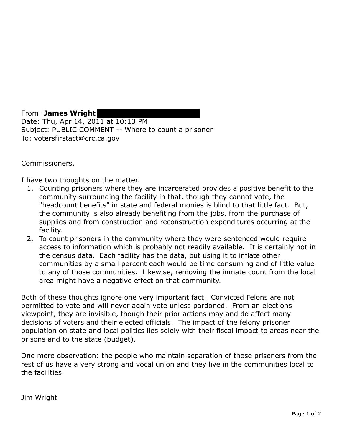From: **James Wright**  Date: Thu, Apr 14, 2011 at 10:13 PM Subject: PUBLIC COMMENT -- Where to count a prisoner To: votersfirstact@crc.ca.gov

Commissioners,

I have two thoughts on the matter.

- 1. Counting prisoners where they are incarcerated provides a positive benefit to the community surrounding the facility in that, though they cannot vote, the "headcount benefits" in state and federal monies is blind to that little fact. But, the community is also already benefiting from the jobs, from the purchase of supplies and from construction and reconstruction expenditures occurring at the facility.
- 2. To count prisoners in the community where they were sentenced would require access to information which is probably not readily available. It is certainly not in the census data. Each facility has the data, but using it to inflate other communities by a small percent each would be time consuming and of little value to any of those communities. Likewise, removing the inmate count from the local area might have a negative effect on that community.

Both of these thoughts ignore one very important fact. Convicted Felons are not permitted to vote and will never again vote unless pardoned. From an elections viewpoint, they are invisible, though their prior actions may and do affect many decisions of voters and their elected officials. The impact of the felony prisoner population on state and local politics lies solely with their fiscal impact to areas near the prisons and to the state (budget).

One more observation: the people who maintain separation of those prisoners from the rest of us have a very strong and vocal union and they live in the communities local to the facilities.

Jim Wright